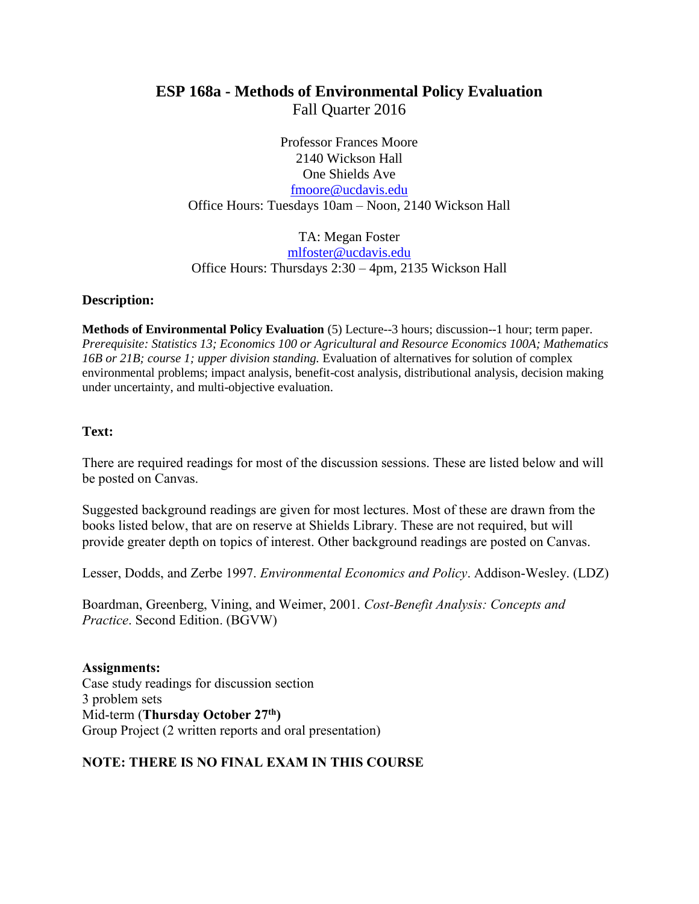# **ESP 168a - Methods of Environmental Policy Evaluation** Fall Quarter 2016

Professor Frances Moore 2140 Wickson Hall One Shields Ave [fmoore@ucdavis.edu](mailto:fmoore@ucdavis.edu) Office Hours: Tuesdays 10am – Noon, 2140 Wickson Hall

TA: Megan Foster [mlfoster@ucdavis.edu](mailto:mlfoster@ucdavis.edu) Office Hours: Thursdays 2:30 – 4pm, 2135 Wickson Hall

#### **Description:**

**Methods of Environmental Policy Evaluation** (5) Lecture--3 hours; discussion--1 hour; term paper. *Prerequisite: Statistics 13; Economics 100 or Agricultural and Resource Economics 100A; Mathematics 16B or 21B; course 1; upper division standing.* Evaluation of alternatives for solution of complex environmental problems; impact analysis, benefit-cost analysis, distributional analysis, decision making under uncertainty, and multi-objective evaluation.

#### **Text:**

There are required readings for most of the discussion sessions. These are listed below and will be posted on Canvas.

Suggested background readings are given for most lectures. Most of these are drawn from the books listed below, that are on reserve at Shields Library. These are not required, but will provide greater depth on topics of interest. Other background readings are posted on Canvas.

Lesser, Dodds, and Zerbe 1997. *Environmental Economics and Policy*. Addison-Wesley. (LDZ)

Boardman, Greenberg, Vining, and Weimer, 2001. *Cost-Benefit Analysis: Concepts and Practice*. Second Edition. (BGVW)

**Assignments:** Case study readings for discussion section 3 problem sets Mid-term (**Thursday October 27th)** Group Project (2 written reports and oral presentation)

### **NOTE: THERE IS NO FINAL EXAM IN THIS COURSE**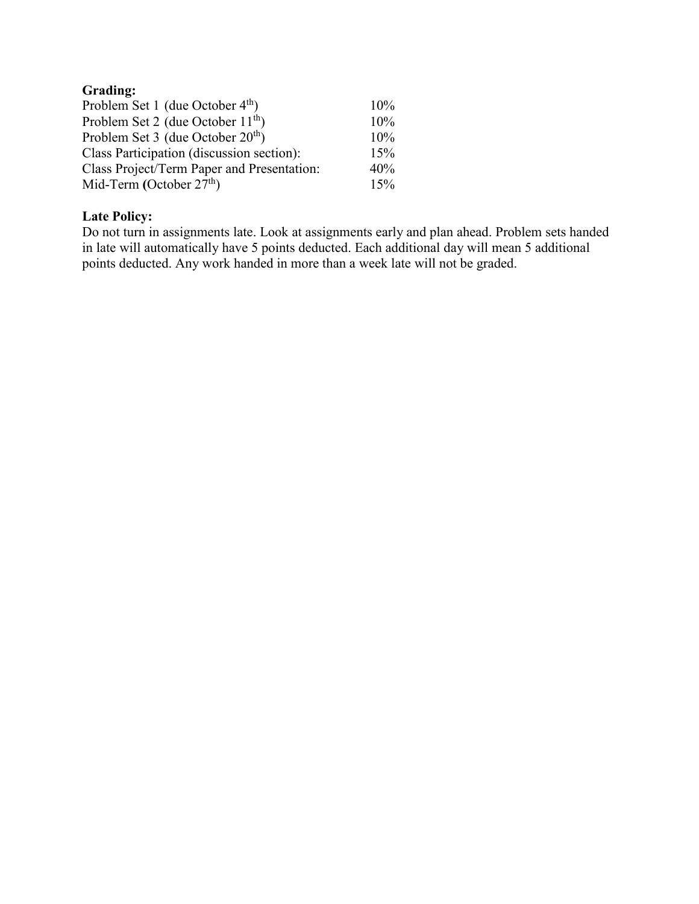# **Grading:**

| Problem Set 1 (due October $4th$ )         | $10\%$ |
|--------------------------------------------|--------|
| Problem Set 2 (due October $11^{th}$ )     | 10%    |
| Problem Set 3 (due October $20th$ )        | 10%    |
| Class Participation (discussion section):  | 15%    |
| Class Project/Term Paper and Presentation: | 40%    |
| Mid-Term (October $27th$ )                 | 15%    |

## **Late Policy:**

Do not turn in assignments late. Look at assignments early and plan ahead. Problem sets handed in late will automatically have 5 points deducted. Each additional day will mean 5 additional points deducted. Any work handed in more than a week late will not be graded.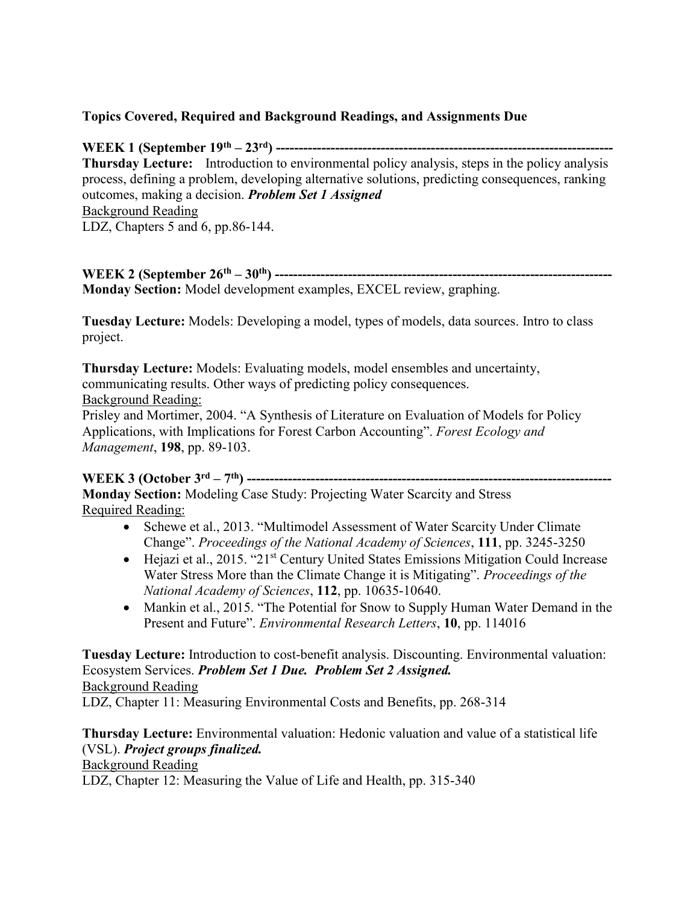## **Topics Covered, Required and Background Readings, and Assignments Due**

**WEEK 1 (September 19th – 23rd) -------------------------------------------------------------------------- Thursday Lecture:** Introduction to environmental policy analysis, steps in the policy analysis process, defining a problem, developing alternative solutions, predicting consequences, ranking outcomes, making a decision. *Problem Set 1 Assigned* Background Reading LDZ, Chapters 5 and 6, pp.86-144.

**WEEK 2 (September 26th – 30th) -------------------------------------------------------------------------- Monday Section:** Model development examples, EXCEL review, graphing.

**Tuesday Lecture:** Models: Developing a model, types of models, data sources. Intro to class project.

**Thursday Lecture:** Models: Evaluating models, model ensembles and uncertainty, communicating results. Other ways of predicting policy consequences. Background Reading:

Prisley and Mortimer, 2004. "A Synthesis of Literature on Evaluation of Models for Policy Applications, with Implications for Forest Carbon Accounting". *Forest Ecology and Management*, **198**, pp. 89-103.

### **WEEK 3 (October 3rd – 7 th) --------------------------------------------------------------------------------**

**Monday Section:** Modeling Case Study: Projecting Water Scarcity and Stress Required Reading:

- Schewe et al., 2013. "Multimodel Assessment of Water Scarcity Under Climate Change". *Proceedings of the National Academy of Sciences*, **111**, pp. 3245-3250
- Hejazi et al., 2015. "21<sup>st</sup> Century United States Emissions Mitigation Could Increase Water Stress More than the Climate Change it is Mitigating". *Proceedings of the National Academy of Sciences*, **112**, pp. 10635-10640.
- Mankin et al., 2015. "The Potential for Snow to Supply Human Water Demand in the Present and Future". *Environmental Research Letters*, **10**, pp. 114016

**Tuesday Lecture:** Introduction to cost-benefit analysis. Discounting. Environmental valuation: Ecosystem Services. *Problem Set 1 Due. Problem Set 2 Assigned.* Background Reading

LDZ, Chapter 11: Measuring Environmental Costs and Benefits, pp. 268-314

**Thursday Lecture:** Environmental valuation: Hedonic valuation and value of a statistical life (VSL). *Project groups finalized.* Background Reading LDZ, Chapter 12: Measuring the Value of Life and Health, pp. 315-340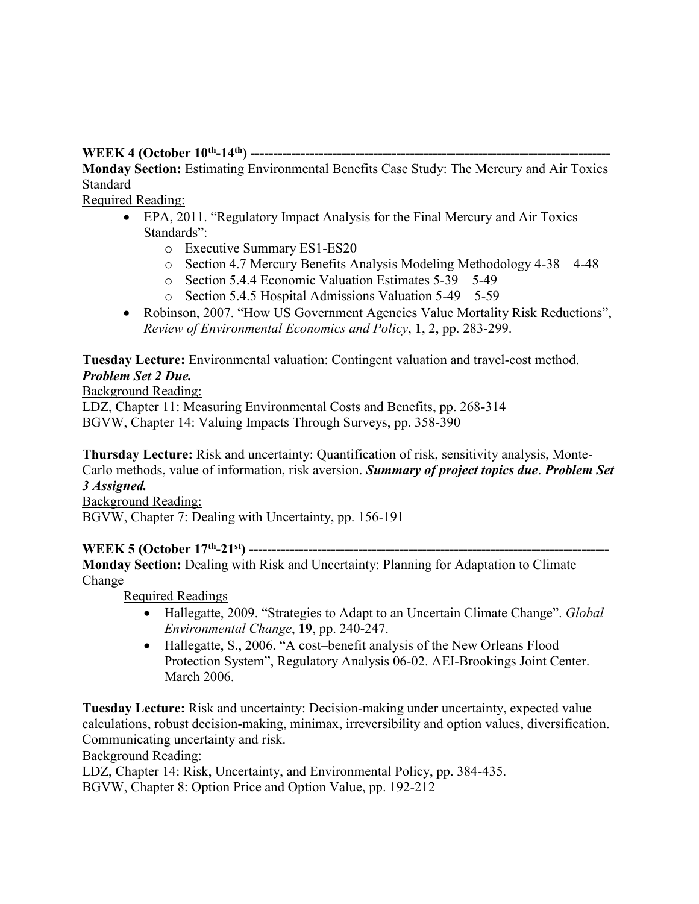#### **WEEK 4 (October 10th -14th) -------------------------------------------------------------------------------**

**Monday Section:** Estimating Environmental Benefits Case Study: The Mercury and Air Toxics Standard

Required Reading:

- EPA, 2011. "Regulatory Impact Analysis for the Final Mercury and Air Toxics Standards":
	- o Executive Summary ES1-ES20
	- o Section 4.7 Mercury Benefits Analysis Modeling Methodology 4-38 4-48
	- o Section 5.4.4 Economic Valuation Estimates 5-39 5-49
	- o Section 5.4.5 Hospital Admissions Valuation 5-49 5-59
- Robinson, 2007. "How US Government Agencies Value Mortality Risk Reductions", *Review of Environmental Economics and Policy*, **1**, 2, pp. 283-299.

**Tuesday Lecture:** Environmental valuation: Contingent valuation and travel-cost method. *Problem Set 2 Due.* 

#### Background Reading:

LDZ, Chapter 11: Measuring Environmental Costs and Benefits, pp. 268-314 BGVW, Chapter 14: Valuing Impacts Through Surveys, pp. 358-390

**Thursday Lecture:** Risk and uncertainty: Quantification of risk, sensitivity analysis, Monte-Carlo methods, value of information, risk aversion. *Summary of project topics due*. *Problem Set 3 Assigned.*

Background Reading:

BGVW, Chapter 7: Dealing with Uncertainty, pp. 156-191

**WEEK 5 (October 17th -21st) ------------------------------------------------------------------------------- Monday Section:** Dealing with Risk and Uncertainty: Planning for Adaptation to Climate Change

Required Readings

- Hallegatte, 2009. "Strategies to Adapt to an Uncertain Climate Change". *Global Environmental Change*, **19**, pp. 240-247.
- Hallegatte, S., 2006. "A cost-benefit analysis of the New Orleans Flood Protection System", Regulatory Analysis 06-02. AEI-Brookings Joint Center. March 2006.

**Tuesday Lecture:** Risk and uncertainty: Decision-making under uncertainty, expected value calculations, robust decision-making, minimax, irreversibility and option values, diversification. Communicating uncertainty and risk.

Background Reading:

LDZ, Chapter 14: Risk, Uncertainty, and Environmental Policy, pp. 384-435. BGVW, Chapter 8: Option Price and Option Value, pp. 192-212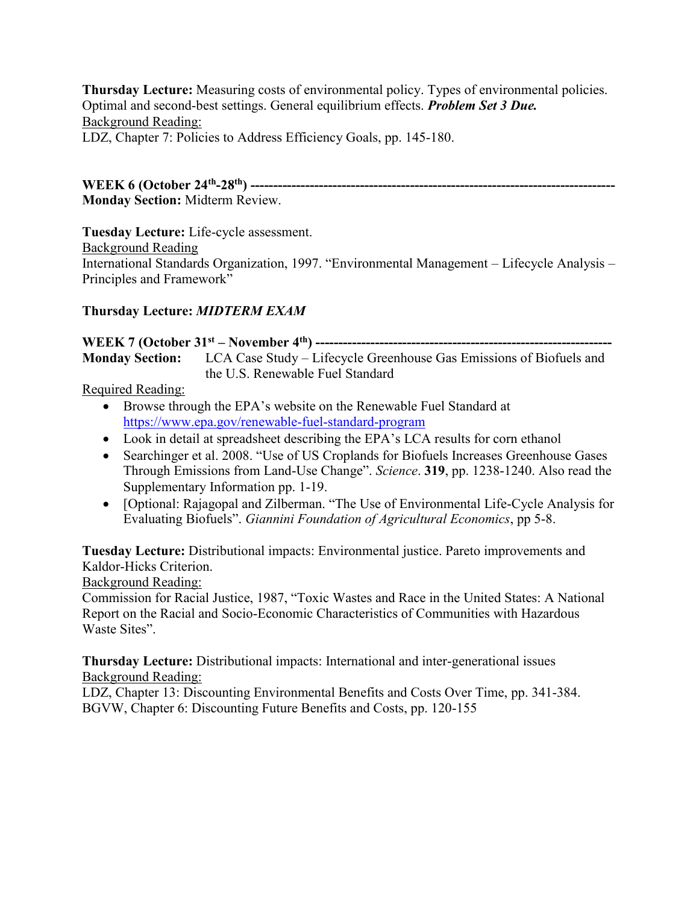**Thursday Lecture:** Measuring costs of environmental policy. Types of environmental policies. Optimal and second-best settings. General equilibrium effects. *Problem Set 3 Due.* Background Reading: LDZ, Chapter 7: Policies to Address Efficiency Goals, pp. 145-180.

**WEEK 6 (October 24th -28th) -------------------------------------------------------------------------------- Monday Section:** Midterm Review.

**Tuesday Lecture:** Life-cycle assessment.

Background Reading

International Standards Organization, 1997. "Environmental Management – Lifecycle Analysis – Principles and Framework"

## **Thursday Lecture:** *MIDTERM EXAM*

**WEEK 7 (October 31st – November 4th) ----------------------------------------------------------------- Monday Section:** LCA Case Study – Lifecycle Greenhouse Gas Emissions of Biofuels and the U.S. Renewable Fuel Standard

## Required Reading:

- Browse through the EPA's website on the Renewable Fuel Standard at <https://www.epa.gov/renewable-fuel-standard-program>
- Look in detail at spreadsheet describing the EPA's LCA results for corn ethanol
- Searchinger et al. 2008. "Use of US Croplands for Biofuels Increases Greenhouse Gases Through Emissions from Land-Use Change". *Science*. **319**, pp. 1238-1240. Also read the Supplementary Information pp. 1-19.
- [Optional: Rajagopal and Zilberman. "The Use of Environmental Life-Cycle Analysis for Evaluating Biofuels". *Giannini Foundation of Agricultural Economics*, pp 5-8.

**Tuesday Lecture:** Distributional impacts: Environmental justice. Pareto improvements and Kaldor-Hicks Criterion.

Background Reading:

Commission for Racial Justice, 1987, "Toxic Wastes and Race in the United States: A National Report on the Racial and Socio-Economic Characteristics of Communities with Hazardous Waste Sites".

**Thursday Lecture:** Distributional impacts: International and inter-generational issues Background Reading:

LDZ, Chapter 13: Discounting Environmental Benefits and Costs Over Time, pp. 341-384. BGVW, Chapter 6: Discounting Future Benefits and Costs, pp. 120-155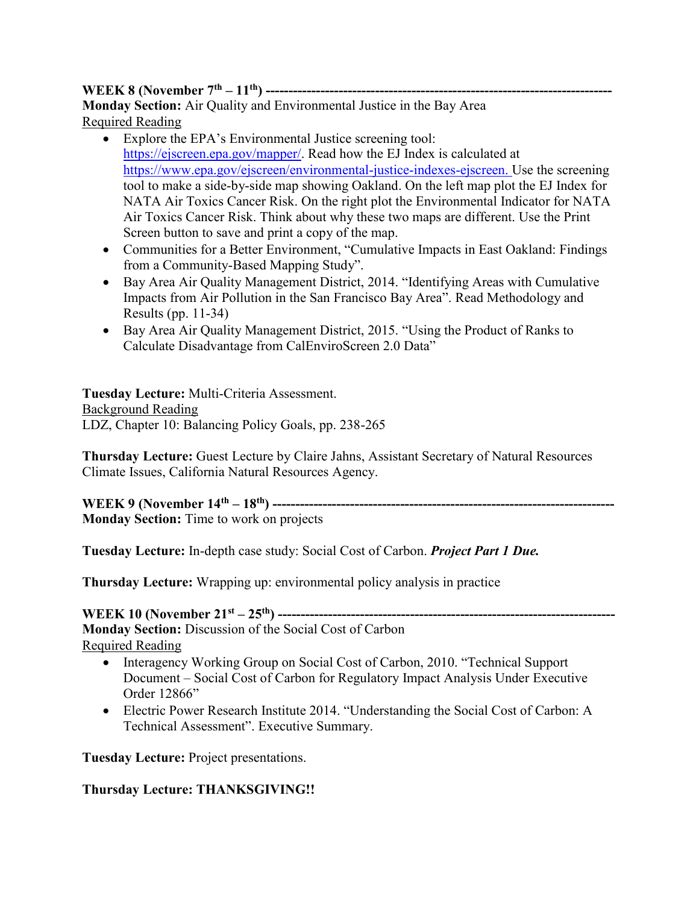## **WEEK 8 (November 7th – 11th) ---------------------------------------------------------------------------- Monday Section:** Air Quality and Environmental Justice in the Bay Area Required Reading

- Explore the EPA's Environmental Justice screening tool: [https://ejscreen.epa.gov/mapper/.](https://ejscreen.epa.gov/mapper/) Read how the EJ Index is calculated at [https://www.epa.gov/ejscreen/environmental-justice-indexes-ejscreen.](https://www.epa.gov/ejscreen/environmental-justice-indexes-ejscreen) Use the screening tool to make a side-by-side map showing Oakland. On the left map plot the EJ Index for NATA Air Toxics Cancer Risk. On the right plot the Environmental Indicator for NATA Air Toxics Cancer Risk. Think about why these two maps are different. Use the Print Screen button to save and print a copy of the map.
- Communities for a Better Environment, "Cumulative Impacts in East Oakland: Findings from a Community-Based Mapping Study".
- Bay Area Air Quality Management District, 2014. "Identifying Areas with Cumulative Impacts from Air Pollution in the San Francisco Bay Area". Read Methodology and Results (pp. 11-34)
- Bay Area Air Quality Management District, 2015. "Using the Product of Ranks to Calculate Disadvantage from CalEnviroScreen 2.0 Data"

**Tuesday Lecture:** Multi-Criteria Assessment. Background Reading LDZ, Chapter 10: Balancing Policy Goals, pp. 238-265

**Thursday Lecture:** Guest Lecture by Claire Jahns, Assistant Secretary of Natural Resources Climate Issues, California Natural Resources Agency.

**WEEK 9 (November 14th – 18th) --------------------------------------------------------------------------- Monday Section:** Time to work on projects

**Tuesday Lecture:** In-depth case study: Social Cost of Carbon. *Project Part 1 Due.*

**Thursday Lecture:** Wrapping up: environmental policy analysis in practice

**WEEK 10 (November 21st – 25th) --------------------------------------------------------------------------**

**Monday Section:** Discussion of the Social Cost of Carbon Required Reading

- Interagency Working Group on Social Cost of Carbon, 2010. "Technical Support Document – Social Cost of Carbon for Regulatory Impact Analysis Under Executive Order 12866"
- Electric Power Research Institute 2014. "Understanding the Social Cost of Carbon: A Technical Assessment". Executive Summary.

**Tuesday Lecture:** Project presentations.

## **Thursday Lecture: THANKSGIVING!!**